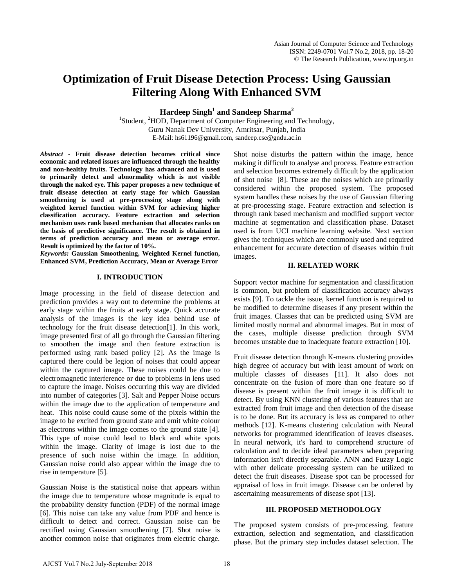# **Optimization of Fruit Disease Detection Process: Using Gaussian Filtering Along With Enhanced SVM**

**Hardeep Singh1 and Sandeep Sharma<sup>2</sup>**

<sup>1</sup>Student, <sup>2</sup>HOD, Department of Computer Engineering and Technology, Guru Nanak Dev University, Amritsar, Punjab, India E-Mail: hs61196@gmail.com, sandeep.cse@gndu.ac.in

*Abstract -* **Fruit disease detection becomes critical since economic and related issues are influenced through the healthy and non-healthy fruits. Technology has advanced and is used to primarily detect and abnormality which is not visible through the naked eye. This paper proposes a new technique of fruit disease detection at early stage for which Gaussian smoothening is used at pre-processing stage along with weighted kernel function within SVM for achieving higher classification accuracy. Feature extraction and selection mechanism uses rank based mechanism that allocates ranks on the basis of predictive significance. The result is obtained in terms of prediction accuracy and mean or average error. Result is optimized by the factor of 10%.**

*Keywords:* **Gaussian Smoothening, Weighted Kernel function, Enhanced SVM, Prediction Accuracy, Mean or Average Error**

# **I. INTRODUCTION**

Image processing in the field of disease detection and prediction provides a way out to determine the problems at early stage within the fruits at early stage. Quick accurate analysis of the images is the key idea behind use of technology for the fruit disease detection[1]. In this work, image presented first of all go through the Gaussian filtering to smoothen the image and then feature extraction is performed using rank based policy [2]. As the image is captured there could be legion of noises that could appear within the captured image. These noises could be due to electromagnetic interference or due to problems in lens used to capture the image. Noises occurring this way are divided into number of categories [3]. Salt and Pepper Noise occurs within the image due to the application of temperature and heat. This noise could cause some of the pixels within the image to be excited from ground state and emit white colour as electrons within the image comes to the ground state [4]. This type of noise could lead to black and white spots within the image. Clarity of image is lost due to the presence of such noise within the image. In addition, Gaussian noise could also appear within the image due to rise in temperature [5].

Gaussian Noise is the statistical noise that appears within the image due to temperature whose magnitude is equal to the probability density function (PDF) of the normal image [6]. This noise can take any value from PDF and hence is difficult to detect and correct. Gaussian noise can be rectified using Gaussian smoothening [7]. Shot noise is another common noise that originates from electric charge. Shot noise disturbs the pattern within the image, hence making it difficult to analyse and process. Feature extraction and selection becomes extremely difficult by the application of shot noise [8]. These are the noises which are primarily considered within the proposed system. The proposed system handles these noises by the use of Gaussian filtering at pre-processing stage. Feature extraction and selection is through rank based mechanism and modified support vector machine at segmentation and classification phase. Dataset used is from UCI machine learning website. Next section gives the techniques which are commonly used and required enhancement for accurate detection of diseases within fruit images.

# **II. RELATED WORK**

Support vector machine for segmentation and classification is common, but problem of classification accuracy always exists [9]. To tackle the issue, kernel function is required to be modified to determine diseases if any present within the fruit images. Classes that can be predicted using SVM are limited mostly normal and abnormal images. But in most of the cases, multiple disease prediction through SVM becomes unstable due to inadequate feature extraction [10].

Fruit disease detection through K-means clustering provides high degree of accuracy but with least amount of work on multiple classes of diseases [11]. It also does not concentrate on the fusion of more than one feature so if disease is present within the fruit image it is difficult to detect. By using KNN clustering of various features that are extracted from fruit image and then detection of the disease is to be done. But its accuracy is less as compared to other methods [12]. K-means clustering calculation with Neural networks for programmed identification of leaves diseases. In neural network, it's hard to comprehend structure of calculation and to decide ideal parameters when preparing information isn't directly separable. ANN and Fuzzy Logic with other delicate processing system can be utilized to detect the fruit diseases. Disease spot can be processed for appraisal of loss in fruit image. Disease can be ordered by ascertaining measurements of disease spot [13].

# **III. PROPOSED METHODOLOGY**

The proposed system consists of pre-processing, feature extraction, selection and segmentation, and classification phase. But the primary step includes dataset selection. The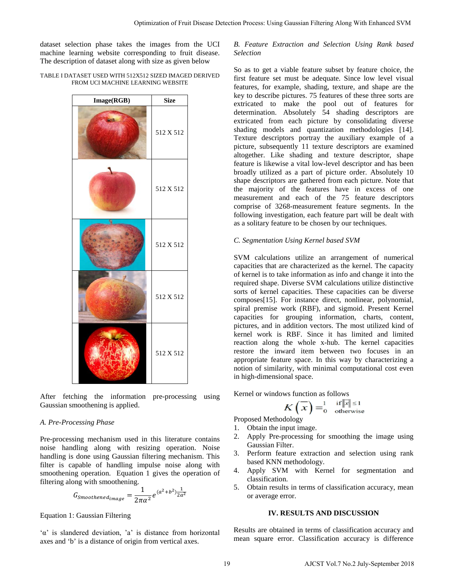dataset selection phase takes the images from the UCI machine learning website corresponding to fruit disease. The description of dataset along with size as given below

#### TABLE I DATASET USED WITH 512X512 SIZED IMAGED DERIVED FROM UCI MACHINE LEARNING WEBSITE



After fetching the information pre-processing using Gaussian smoothening is applied.

#### *A. Pre-Processing Phase*

Pre-processing mechanism used in this literature contains noise handling along with resizing operation. Noise handling is done using Gaussian filtering mechanism. This filter is capable of handling impulse noise along with smoothening operation. Equation 1 gives the operation of filtering along with smoothening.

$$
G_{Smoothened_{image}} = \frac{1}{2\pi\alpha^2} e^{(\alpha^2 + b^2)\frac{1}{2a^2}}
$$

#### Equation 1: Gaussian Filtering

'α' is slandered deviation, 'a' is distance from horizontal axes and 'b' is a distance of origin from vertical axes.

# *B. Feature Extraction and Selection Using Rank based Selection*

So as to get a viable feature subset by feature choice, the first feature set must be adequate. Since low level visual features, for example, shading, texture, and shape are the key to describe pictures. 75 features of these three sorts are extricated to make the pool out of features for determination. Absolutely 54 shading descriptors are extricated from each picture by consolidating diverse shading models and quantization methodologies [14]. Texture descriptors portray the auxiliary example of a picture, subsequently 11 texture descriptors are examined altogether. Like shading and texture descriptor, shape feature is likewise a vital low-level descriptor and has been broadly utilized as a part of picture order. Absolutely 10 shape descriptors are gathered from each picture. Note that the majority of the features have in excess of one measurement and each of the 75 feature descriptors comprise of 3268-measurement feature segments. In the following investigation, each feature part will be dealt with as a solitary feature to be chosen by our techniques. Optimization of Fruit Disease Detection Posses. Using Gaussian Filtering Along With Enhanced SVM<br>
the integrals for the CIT AC Forecast England and Selection Using Road, based<br>
vol.10 AS Experiment Control Control Contro

# *C. Segmentation Using Kernel based SVM*

SVM calculations utilize an arrangement of numerical capacities that are characterized as the kernel. The capacity of kernel is to take information as info and change it into the required shape. Diverse SVM calculations utilize distinctive sorts of kernel capacities. These capacities can be diverse composes[15]. For instance direct, nonlinear, polynomial, spiral premise work (RBF), and sigmoid. Present Kernel capacities for grouping information, charts, content, pictures, and in addition vectors. The most utilized kind of kernel work is RBF. Since it has limited and limited reaction along the whole x-hub. The kernel capacities restore the inward item between two focuses in an appropriate feature space. In this way by characterizing a notion of similarity, with minimal computational cost even in high-dimensional space.

Kernel or windows function as follows

$$
K(\overline{x}) = \begin{cases} \frac{1}{\text{otherwise}} \\ \frac{1}{\text{otherwise}} \end{cases}
$$

Proposed Methodology

- 1. Obtain the input image.
- 2. Apply Pre-processing for smoothing the image using Gaussian Filter.
- 3. Perform feature extraction and selection using rank based KNN methodology.
- 4. Apply SVM with Kernel for segmentation and classification.
- 5. Obtain results in terms of classification accuracy, mean or average error.

#### **IV. RESULTS AND DISCUSSION**

Results are obtained in terms of classification accuracy and mean square error. Classification accuracy is difference